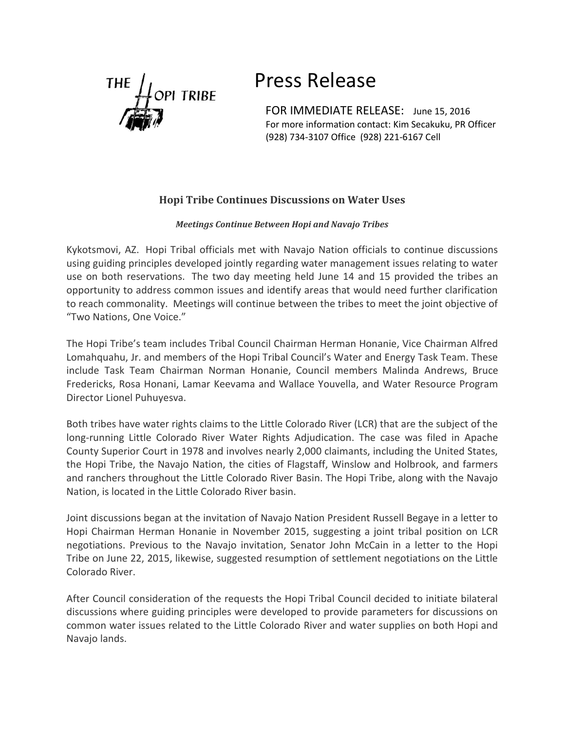

## Press Release

**I** TRIBE<br>FOR IMMEDIATE RELEASE: June 15, 2016 For more information contact: Kim Secakuku, PR Officer (928) 734-3107 Office (928) 221-6167 Cell

## **Hopi Tribe Continues Discussions on Water Uses**

## *Meetings Continue Between Hopi and Navajo Tribes*

Kykotsmovi, AZ. Hopi Tribal officials met with Navajo Nation officials to continue discussions using guiding principles developed jointly regarding water management issues relating to water use on both reservations. The two day meeting held June 14 and 15 provided the tribes an opportunity to address common issues and identify areas that would need further clarification to reach commonality. Meetings will continue between the tribes to meet the joint objective of "Two Nations, One Voice."

The Hopi Tribe's team includes Tribal Council Chairman Herman Honanie, Vice Chairman Alfred Lomahquahu, Jr. and members of the Hopi Tribal Council's Water and Energy Task Team. These include Task Team Chairman Norman Honanie, Council members Malinda Andrews, Bruce Fredericks, Rosa Honani, Lamar Keevama and Wallace Youvella, and Water Resource Program Director Lionel Puhuyesva.

Both tribes have water rights claims to the Little Colorado River (LCR) that are the subject of the long-running Little Colorado River Water Rights Adjudication. The case was filed in Apache County Superior Court in 1978 and involves nearly 2,000 claimants, including the United States, the Hopi Tribe, the Navajo Nation, the cities of Flagstaff, Winslow and Holbrook, and farmers and ranchers throughout the Little Colorado River Basin. The Hopi Tribe, along with the Navajo Nation, is located in the Little Colorado River basin.

Joint discussions began at the invitation of Navajo Nation President Russell Begaye in a letter to Hopi Chairman Herman Honanie in November 2015, suggesting a joint tribal position on LCR negotiations. Previous to the Navajo invitation, Senator John McCain in a letter to the Hopi Tribe on June 22, 2015, likewise, suggested resumption of settlement negotiations on the Little Colorado River.

After Council consideration of the requests the Hopi Tribal Council decided to initiate bilateral discussions where guiding principles were developed to provide parameters for discussions on common water issues related to the Little Colorado River and water supplies on both Hopi and Navajo lands.